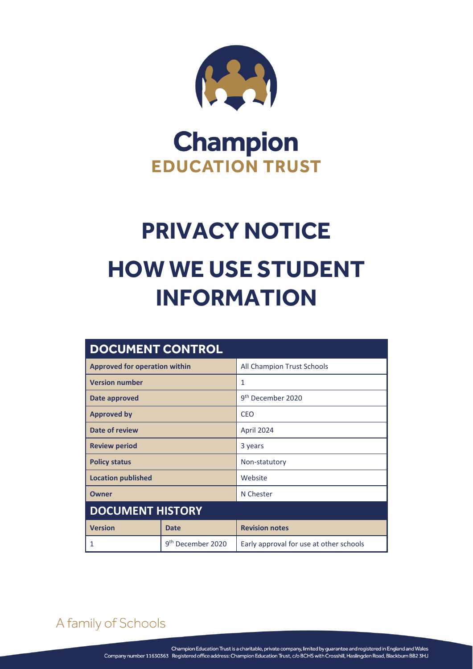

## **Champion EDUCATION TRUST**

# **PRIVACY NOTICE HOW WE USE STUDENT INFORMATION**

| <b>DOCUMENT CONTROL</b>              |                               |                                         |
|--------------------------------------|-------------------------------|-----------------------------------------|
| <b>Approved for operation within</b> |                               | All Champion Trust Schools              |
| <b>Version number</b>                |                               | 1                                       |
| Date approved                        |                               | 9 <sup>th</sup> December 2020           |
| <b>Approved by</b>                   |                               | <b>CEO</b>                              |
| Date of review                       |                               | April 2024                              |
| <b>Review period</b>                 |                               | 3 years                                 |
| <b>Policy status</b>                 |                               | Non-statutory                           |
| <b>Location published</b>            |                               | Website                                 |
| Owner                                |                               | N Chester                               |
| <b>DOCUMENT HISTORY</b>              |                               |                                         |
| <b>Version</b>                       | <b>Date</b>                   | <b>Revision notes</b>                   |
| 1                                    | 9 <sup>th</sup> December 2020 | Early approval for use at other schools |

## A family of Schools

PRIVACY NOTICE – HOW WE USE STUDENT INFORMATION Page **0** of **4**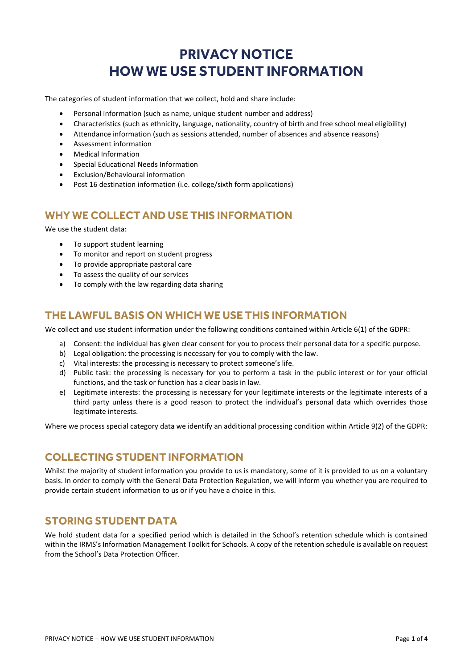### **PRIVACY NOTICE HOW WE USE STUDENT INFORMATION**

The categories of student information that we collect, hold and share include:

- Personal information (such as name, unique student number and address)
- Characteristics (such as ethnicity, language, nationality, country of birth and free school meal eligibility)
- Attendance information (such as sessions attended, number of absences and absence reasons)
- Assessment information
- Medical Information
- **•** Special Educational Needs Information
- Exclusion/Behavioural information
- Post 16 destination information (i.e. college/sixth form applications)

#### **WHY WE COLLECT AND USE THIS INFORMATION**

We use the student data:

- To support student learning
- To monitor and report on student progress
- To provide appropriate pastoral care
- To assess the quality of our services
- To comply with the law regarding data sharing

#### **THE LAWFUL BASIS ON WHICH WE USE THIS INFORMATION**

We collect and use student information under the following conditions contained within Article 6(1) of the GDPR:

- a) Consent: the individual has given clear consent for you to process their personal data for a specific purpose.
- b) Legal obligation: the processing is necessary for you to comply with the law.
- c) Vital interests: the processing is necessary to protect someone's life.
- d) Public task: the processing is necessary for you to perform a task in the public interest or for your official functions, and the task or function has a clear basis in law.
- e) Legitimate interests: the processing is necessary for your legitimate interests or the legitimate interests of a third party unless there is a good reason to protect the individual's personal data which overrides those legitimate interests.

Where we process special category data we identify an additional processing condition within Article 9(2) of the GDPR:

#### **COLLECTING STUDENT INFORMATION**

Whilst the majority of student information you provide to us is mandatory, some of it is provided to us on a voluntary basis. In order to comply with the General Data Protection Regulation, we will inform you whether you are required to provide certain student information to us or if you have a choice in this.

#### **STORING STUDENT DATA**

We hold student data for a specified period which is detailed in the School's retention schedule which is contained within the IRMS's Information Management Toolkit for Schools. A copy of the retention schedule is available on request from the School's Data Protection Officer.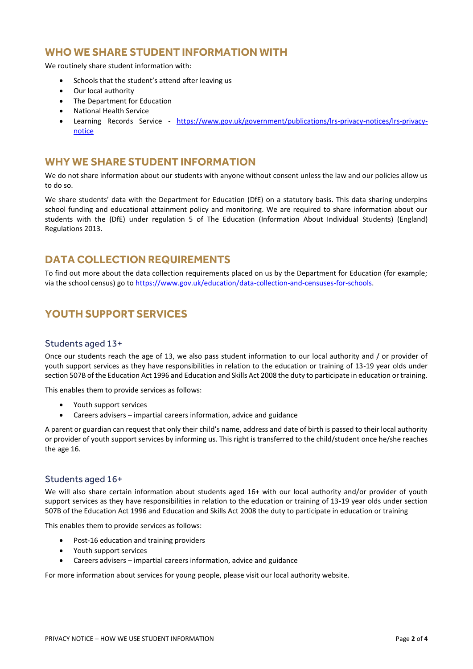#### **WHO WE SHARE STUDENT INFORMATION WITH**

We routinely share student information with:

- Schools that the student's attend after leaving us
- Our local authority
- The Department for Education
- National Health Service
- Learning Records Service [https://www.gov.uk/government/publications/lrs-privacy-notices/lrs-privacy](https://www.gov.uk/government/publications/lrs-privacy-notices/lrs-privacy-notice)[notice](https://www.gov.uk/government/publications/lrs-privacy-notices/lrs-privacy-notice)

#### **WHY WE SHARE STUDENT INFORMATION**

We do not share information about our students with anyone without consent unless the law and our policies allow us to do so.

We share students' data with the Department for Education (DfE) on a statutory basis. This data sharing underpins school funding and educational attainment policy and monitoring. We are required to share information about our students with the (DfE) under regulation 5 of The Education (Information About Individual Students) (England) Regulations 2013.

#### **DATA COLLECTION REQUIREMENTS**

To find out more about the data collection requirements placed on us by the Department for Education (for example; via the school census) go to [https://www.gov.uk/education/data-collection-and-censuses-for-schools.](https://www.gov.uk/education/data-collection-and-censuses-for-schools)

#### **YOUTH SUPPORT SERVICES**

#### Students aged 13+

Once our students reach the age of 13, we also pass student information to our local authority and / or provider of youth support services as they have responsibilities in relation to the education or training of 13-19 year olds under section 507B of the Education Act 1996 and Education and Skills Act 2008 the duty to participate in education or training.

This enables them to provide services as follows:

- Youth support services
- Careers advisers impartial careers information, advice and guidance

A parent or guardian can request that only their child's name, address and date of birth is passed to their local authority or provider of youth support services by informing us. This right is transferred to the child/student once he/she reaches the age 16.

#### Students aged 16+

We will also share certain information about students aged 16+ with our local authority and/or provider of youth support services as they have responsibilities in relation to the education or training of 13-19 year olds under section 507B of the Education Act 1996 and Education and Skills Act 2008 the duty to participate in education or training

This enables them to provide services as follows:

- Post-16 education and training providers
- Youth support services
- Careers advisers impartial careers information, advice and guidance

For more information about services for young people, please visit our local authority website.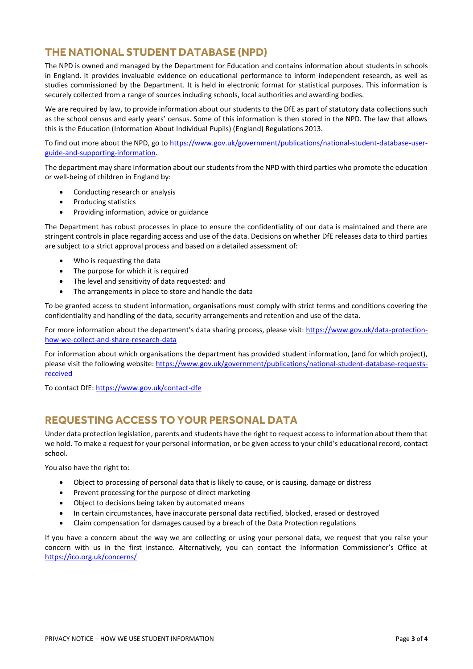#### **THE NATIONAL STUDENT DATABASE (NPD)**

The NPD is owned and managed by the Department for Education and contains information about students in schools in England. It provides invaluable evidence on educational performance to inform independent research, as well as studies commissioned by the Department. It is held in electronic format for statistical purposes. This information is securely collected from a range of sources including schools, local authorities and awarding bodies.

We are required by law, to provide information about our students to the DfE as part of statutory data collections such as the school census and early years' census. Some of this information is then stored in the NPD. The law that allows this is the Education (Information About Individual Pupils) (England) Regulations 2013.

To find out more about the NPD, go to [https://www.gov.uk/government/publications/national-student-database-user](https://www.gov.uk/government/publications/national-pupil-database-user-guide-and-supporting-information)[guide-and-supporting-information.](https://www.gov.uk/government/publications/national-pupil-database-user-guide-and-supporting-information)

The department may share information about our students from the NPD with third parties who promote the education or well-being of children in England by:

- Conducting research or analysis
- Producing statistics
- Providing information, advice or guidance

The Department has robust processes in place to ensure the confidentiality of our data is maintained and there are stringent controls in place regarding access and use of the data. Decisions on whether DfE releases data to third parties are subject to a strict approval process and based on a detailed assessment of:

- Who is requesting the data
- The purpose for which it is required
- The level and sensitivity of data requested: and
- The arrangements in place to store and handle the data

To be granted access to student information, organisations must comply with strict terms and conditions covering the confidentiality and handling of the data, security arrangements and retention and use of the data.

For more information about the department's data sharing process, please visit: [https://www.gov.uk/data-protection](https://www.gov.uk/data-protection-how-we-collect-and-share-research-data)[how-we-collect-and-share-research-data](https://www.gov.uk/data-protection-how-we-collect-and-share-research-data)

For information about which organisations the department has provided student information, (and for which project), please visit the following website: [https://www.gov.uk/government/publications/national-student-database-requests](https://www.gov.uk/government/publications/national-pupil-database-requests-received)[received](https://www.gov.uk/government/publications/national-pupil-database-requests-received)

To contact DfE:<https://www.gov.uk/contact-dfe>

#### **REQUESTING ACCESS TO YOUR PERSONAL DATA**

Under data protection legislation, parents and students have the right to request access to information about them that we hold. To make a request for your personal information, or be given access to your child's educational record, contact school.

You also have the right to:

- Object to processing of personal data that is likely to cause, or is causing, damage or distress
- Prevent processing for the purpose of direct marketing
- Object to decisions being taken by automated means
- In certain circumstances, have inaccurate personal data rectified, blocked, erased or destroyed
- Claim compensation for damages caused by a breach of the Data Protection regulations

If you have a concern about the way we are collecting or using your personal data, we request that you raise your concern with us in the first instance. Alternatively, you can contact the Information Commissioner's Office at <https://ico.org.uk/concerns/>